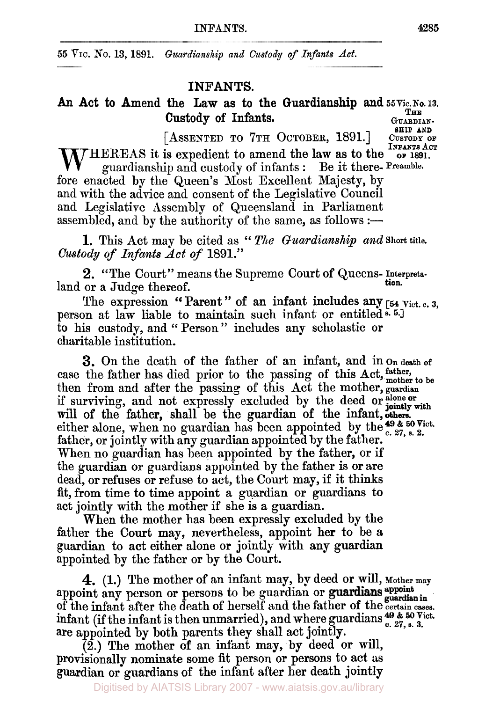*55* **VIC. No. 13, 1891.** *Guardianship and Custody of Infants Act.* 

# **INFANTS.**

## An Act to Amend the Law as to the Guardianship and  $_{55 \text{Vic. No. 13.}}$ Custody of Infants. GUARDIAN-**SHIP AND**

**[ASSENTED** *TO* **7TH OCTOBER, 1891.] CUSTODY OF INFANTS ACT OF** 1891.  $\Lambda$ /HEREAS it is expedient to amend the law as to the guardianship and custody of infants : Be it there- Preamble. fore enacted by the Queen's Most Excellent Majesty, by and with the advice and consent of the Legislative Council and Legislative Assembly of Queensland in Parliament assembled, and by the authority of the same, as follows :—

**1.** This Act may be cited as 'c *The Guardianship and* **Short** title. *Custody of Infants Act of* 1891."

2. "The Court" means the Supreme Court of Queens- Interpretaland or a Judge thereof. tion.

The expression Parent " of an infant includes any **[54** Vict. **C. 3,**  person at law liable to maintain such infant or entitled<sup>s. 5.]</sup> to his custody, and " Person " includes any scholastic or charitable institution.

**3.** On the death of the father of an infant, and in on death of case the father has died prior to the passing of this Act, *father, mother* to be then from and after the passing of this Act the mother, guardian will of the father, shall be the guardian of the infant, others. father, or jointly with any guardian appointed by the father. When no guardian has been appointed by the father, or if the guardian or guardians appointed by the father is or are dead, or refuses or refuse to act, the Court may, if it thinks fit, from time to time appoint a guardian or guardians to act jointly with the mother if she is **a** guardian. if surviving, and not expressly excluded by the deed or slone or either alone, when no guardian has been appointed by the  $^{49}$  &  $^{50}$  Vict.

When the mother has been expressly excluded by the father the Court may, nevertheless, appoint her to be a guardian to act either alone or jointly with any **guardian**  appointed by the father or by the Court.

**4.** (1.) The mother of an infant may, by deed or will, Mother may appoint any person or persons to be guardian or guardians appoint appoint any person or persons to be guardian or guardians *guardian* in of the infant after the death of herself and the father of the certain cases. are appointed by both parents they shall act jointly. **<sup>49</sup>**& *50* Vict. infant (if the infant is then unmarried), and where guardians *c.* **27,** *s.* 3.

**(2.)** The mother of an infant may, **by** deed or will, provisionally nominate some fit person or persons to act us guardian or guardians of the infant after her death jointly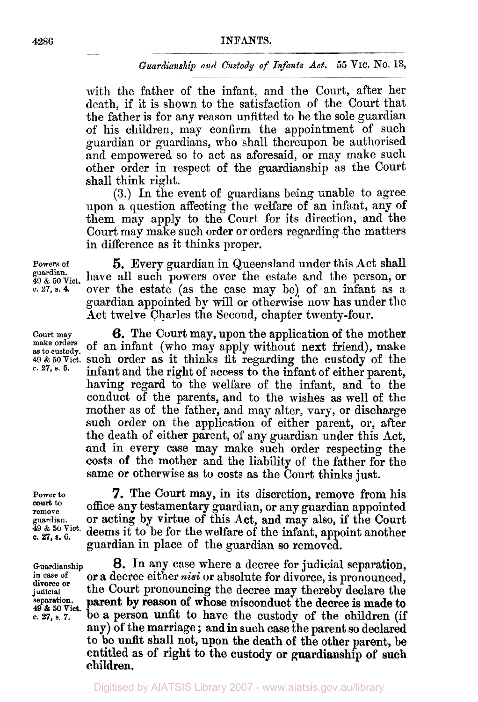#### **4286 INFANTS.**

#### *Guardianship and Custody of Infants Act. 55* **VIC. NO. 13,**

with the father of the infant, and the Court, after her death, if it is shown to the satisfaction of the Court that the father is for any reason unfitted to be the sole guardian of his children, may confirm the appointment of such guardian or guardians, who shall thereupon be authorised and empowered so to act as aforesaid, or may make such other order in respect of the guardianship as the Court shall think right.

**(3.)** In the event of guardians being unable to agree upon a question affecting the welfare of an infant, any of them may apply to the Court for its direction, and the Court may make such order or orders regarding the matters in difference as it thinks proper.

*c.* **27, s.** *6.* 

**divorce or 49** & 50 Vict.<br> **49** & 50 Vict.<br> **c.** 27, s. 7.

**Powers of** *5.* Every guardian in Queensland under this Act shall  $_{49\text{ \& }50\text{ V}$ iet. have all such powers over the estate and the person, or **c.27, s.4.** over the estate (as the case may be) of an infant as a guardian appointed by will or otherwise now has under the Act twelve Charles the Second, chapter twenty-four.

**Court may** *6.* The Court may, upon the application of the mother **make as to custody. orders** of an infant (who may apply without next friend), make 49& 50 vict. such order as it thinks fit regarding the custody of the c. 27, s. 5. infant and the right of access to the infant of either parent. infant and the right of access to the infant of either parent, having regard to the welfare of the infant, and to the conduct of the parents, and to the wishes as well of the mother as of the father, and may alter, vary, or discharge such order on the application of either parent, **or,** after the death of either parent, of any guardian under this Act, and in every case may make such order respecting the costs of the mother and the liability of the father for the same or otherwise as to costs as the Court thinks just.

**Power to 7.** The Court may, in its discretion, remove from his court to office any testamentum cusadian as a separate dependence of the details. **remove office any testamentary guardian, or any guardian appointed** guardian. **or acting by virtue of this Act, and may also, if the Court** remove<br>guardian. **or acting by virtue of this Act, and may also, if the Court**<br>49 & 50 Viet, deems it to be for the welfare of the infant approximate rather deems it to be for the welfare of the infant, appoint another guardian in place of the guardian so removed.

Guardianship **8.** In any case where a decree for judicial separation, in case of or a decree either *niei* or absolute for diverge is propounced. **in case** of or **a** decree either *nisi* or absolute **for** divorce, is pronounced, **judicial** the Court pronouncing the decree may thereby declare the parent by reason of whose misconduct the decree is made to  $\overline{b}$  **27. 27.**   $\overline{c}$  **27. 27. 27. 27. 27. 27. 27. 27. 27. 27. 27. 27. 27. 27. 27. 27. 27. 27. 27. 27. 27. 27. 27. 27. 27. 27. 27. 27. 27. 27. 27. 27.** any) **of** the marriage ; and in such case the parent so declared to be unfit shall not, upon the death of the other parent, be entitled as **of** right to **the** custody or guardianship **of such**  children.

an an

Digitised by AIATSIS Library 2007 - www.aiatsis.gov.au/library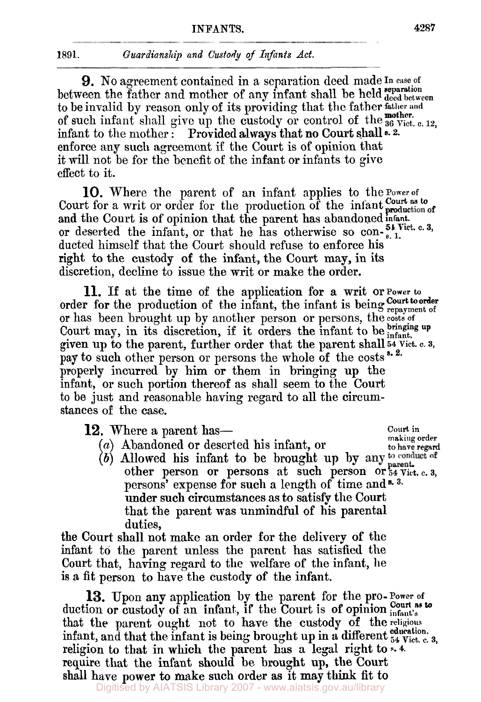### **1891. Guardianship and Custody of Infants Act.**

9. No agreement contained in a separation deed made In case of to be invalid by reason only of its providing that the father **father and**  of such infant shall give up the custody or control of the **36** vict. **c. 12, mother.**  infant to the mother : Provided always that no Court shall **s.** 2. enforce any such agreernent if the Court is of opinion that it will not be for the benefit of the infant or infants to give effect to it. between the father and mother of any infant shall be held deed between

Court for a writ or order for the production of the infant and the Court is **of** opinion that the parent has abandoned infant. or deserted the infant, or that he has otherwise so con- $_{8.1}^{51}$  Vict. c. 3, ducted himself that the Court should refuse to enforce his right to the custody of the infant, the Court **may,** in its discretion, decline to issue the writ or make the order. **10.** Where the parent **of** an infant applies to the power of **Court as to of** 

**11.** If at the time of the application for a writ **or power to**  order for the production of the infant, the infant is being **Court to order** or has been brought up by another person or persons, the costs **of**  Court may, in its discretion, if it orders the infant to be *infant*. given up to the parent, further order that the parent shall **54 Vict. c. 3,**  pay to such other person or persons the whole of the costs<sup>5.2.</sup> properly incurred by him or them in bringing up the infant, or such portion thereof as shall seem to the Court to be just and reasonable having regard to all the circumstances **of** the case.

| 12. Where a parent has—                                                                                                         | Court in<br>making order |
|---------------------------------------------------------------------------------------------------------------------------------|--------------------------|
| $(a)$ Abandoned or deserted his infant, or                                                                                      | to have regard           |
| (b) Allowed his infant to be brought up by any to conduct of other person or persons at such person or $_{54}^{54}$ Vict. c. 3, |                          |
|                                                                                                                                 |                          |
| persons' expense for such a length of time and *.3.                                                                             |                          |
| under such circumstances as to satisfy the Court                                                                                |                          |
| that the parent was unmindful of his parental                                                                                   |                          |

duties, the Court shall not make an order **for** the delivery **of** the infant to the parent unless the parent has satisfied the Court that, having regard to the welfare of the infant, he is a fit person to have the custody of the infant.

13. Upon any application by the parent for the pro-Power of duction or custody of an infant, if the Court is of opinion **infant**'s **court** as to that the parent ought not to have the custody of the **religious**  infant, and that the infant is being brought up in a different  ${}_{54}^{educedation.}$ religion to that in which the parent has a legal right to **s. 4.**  require that the infant should **be** brought up, the Court shall have power to make such order as it **may** think fit to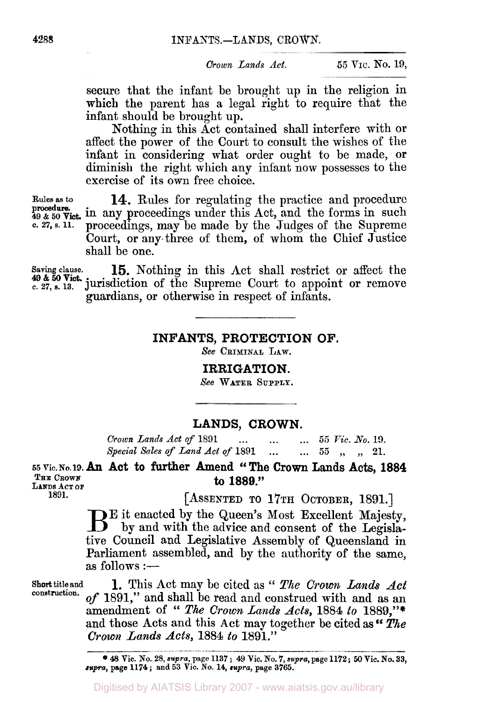*Crown Lands Act.* **55 VIC. No. 19,** 

secure that the infant be brought up in the religion in which the parent has a legal right to require that the infant should be brought up.

Nothing in this Act contained shall interfere with or affect the power of the Court to consult the wishes of the infant in considering what order ought to be made, **or**  diminish the right which any infant now possesses to the exercise of its own free choice.

**Rules as** *to* **14.** Rules for regulating the practice and procedure procedure.<br>49 & 50 Vict. in any proceedings under this Act, and the forms in such<br>c. 27, s. 11. proceedings may be made by the Judges of the Supreme proceedings, may be made by the Judges of the Supreme Court, **or** any three of them, of whom the Chief Justice shall be one. **procedure** 

**Saving clause. 15.** Nothing in this Act shall restrict or affect the **49** & 50 Vict.<br> **49** & 50 Vict.<br> **27, s.** 13. **jurisdiction of the Supreme Court to appoint or remove** guardians, or otherwise in respect of infants.

**INFANTS, PROTECTION OF.** 

*See* **CRIMINAL LAW.** 

**IRRIGATION.** 

*See* **WATER SUPPLY.**